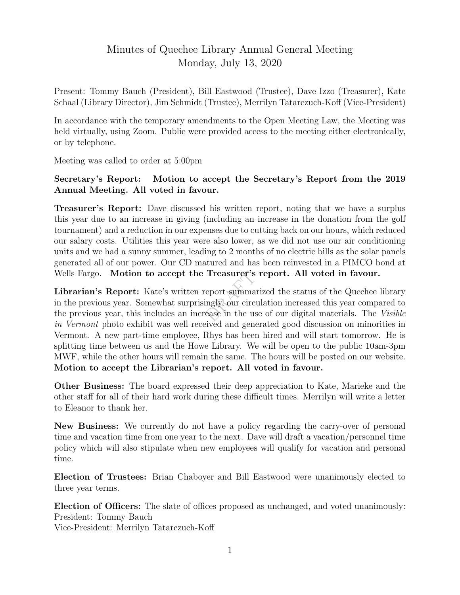## Minutes of Quechee Library Annual General Meeting Monday, July 13, 2020

Present: Tommy Bauch (President), Bill Eastwood (Trustee), Dave Izzo (Treasurer), Kate Schaal (Library Director), Jim Schmidt (Trustee), Merrilyn Tatarczuch-Koff (Vice-President)

In accordance with the temporary amendments to the Open Meeting Law, the Meeting was held virtually, using Zoom. Public were provided access to the meeting either electronically, or by telephone.

Meeting was called to order at 5:00pm

## Secretary's Report: Motion to accept the Secretary's Report from the 2019 Annual Meeting. All voted in favour.

Treasurer's Report: Dave discussed his written report, noting that we have a surplus this year due to an increase in giving (including an increase in the donation from the golf tournament) and a reduction in our expenses due to cutting back on our hours, which reduced our salary costs. Utilities this year were also lower, as we did not use our air conditioning units and we had a sunny summer, leading to 2 months of no electric bills as the solar panels generated all of our power. Our CD matured and has been reinvested in a PIMCO bond at Wells Fargo. Motion to accept the Treasurer's report. All voted in favour.

Treasurer's 1<br>eport summari<br>ingly, our circu<br>ease in the use Librarian's Report: Kate's written report summarized the status of the Quechee library in the previous year. Somewhat surprisingly, our circulation increased this year compared to the previous year, this includes an increase in the use of our digital materials. The Visible in Vermont photo exhibit was well received and generated good discussion on minorities in Vermont. A new part-time employee, Rhys has been hired and will start tomorrow. He is splitting time between us and the Howe Library. We will be open to the public 10am-3pm MWF, while the other hours will remain the same. The hours will be posted on our website. Motion to accept the Librarian's report. All voted in favour.

Other Business: The board expressed their deep appreciation to Kate, Marieke and the other staff for all of their hard work during these difficult times. Merrilyn will write a letter to Eleanor to thank her.

New Business: We currently do not have a policy regarding the carry-over of personal time and vacation time from one year to the next. Dave will draft a vacation/personnel time policy which will also stipulate when new employees will qualify for vacation and personal time.

Election of Trustees: Brian Chaboyer and Bill Eastwood were unanimously elected to three year terms.

Election of Officers: The slate of offices proposed as unchanged, and voted unanimously: President: Tommy Bauch

Vice-President: Merrilyn Tatarczuch-Koff